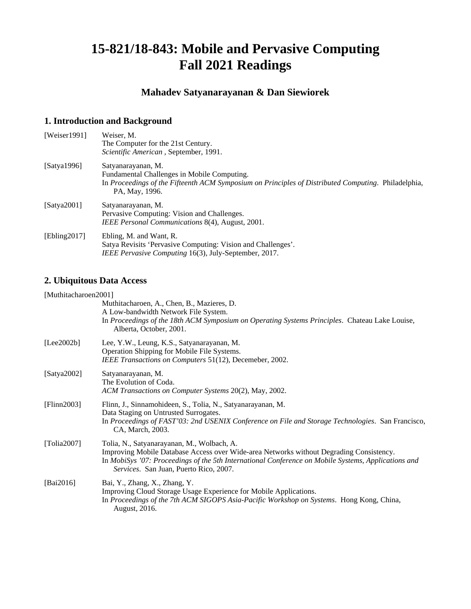# **15-821/18-843: Mobile and Pervasive Computing Fall 2021 Readings**

### **Mahadev Satyanarayanan & Dan Siewiorek**

#### **1. Introduction and Background**

| [Weiser 1991] | Weiser, M.<br>The Computer for the 21st Century.                                                                                                                                           |
|---------------|--------------------------------------------------------------------------------------------------------------------------------------------------------------------------------------------|
|               | Scientific American, September, 1991.                                                                                                                                                      |
| [Satva1996]   | Satyanarayanan, M.<br>Fundamental Challenges in Mobile Computing.<br>In Proceedings of the Fifteenth ACM Symposium on Principles of Distributed Computing. Philadelphia,<br>PA, May, 1996. |
| [Satya2001]   | Satyanarayanan, M.<br>Pervasive Computing: Vision and Challenges.<br>IEEE Personal Communications 8(4), August, 2001.                                                                      |
| [Ebling2017]  | Ebling, M. and Want, R.<br>Satya Revisits 'Pervasive Computing: Vision and Challenges'.<br>IEEE Pervasive Computing 16(3), July-September, 2017.                                           |

### **2. Ubiquitous Data Access**

#### [Muthitacharoen2001]

|                 | Muthitacharoen, A., Chen, B., Mazieres, D.<br>A Low-bandwidth Network File System.<br>In Proceedings of the 18th ACM Symposium on Operating Systems Principles. Chateau Lake Louise,<br>Alberta, October, 2001.                                                                        |
|-----------------|----------------------------------------------------------------------------------------------------------------------------------------------------------------------------------------------------------------------------------------------------------------------------------------|
| [Lee2002b]      | Lee, Y.W., Leung, K.S., Satyanarayanan, M.<br>Operation Shipping for Mobile File Systems.<br>IEEE Transactions on Computers 51(12), Decemeber, 2002.                                                                                                                                   |
| [Satya2002]     | Satyanarayanan, M.<br>The Evolution of Coda.<br>ACM Transactions on Computer Systems 20(2), May, 2002.                                                                                                                                                                                 |
| [Flinn2003]     | Flinn, J., Sinnamohideen, S., Tolia, N., Satyanarayanan, M.<br>Data Staging on Untrusted Surrogates.<br>In Proceedings of FAST'03: 2nd USENIX Conference on File and Storage Technologies. San Francisco,<br>CA, March, 2003.                                                          |
| [Tolia $2007$ ] | Tolia, N., Satyanarayanan, M., Wolbach, A.<br>Improving Mobile Database Access over Wide-area Networks without Degrading Consistency.<br>In MobiSys '07: Proceedings of the 5th International Conference on Mobile Systems, Applications and<br>Services. San Juan, Puerto Rico, 2007. |
| [Bai2016]       | Bai, Y., Zhang, X., Zhang, Y.<br>Improving Cloud Storage Usage Experience for Mobile Applications.<br>In Proceedings of the 7th ACM SIGOPS Asia-Pacific Workshop on Systems. Hong Kong, China,<br>August, 2016.                                                                        |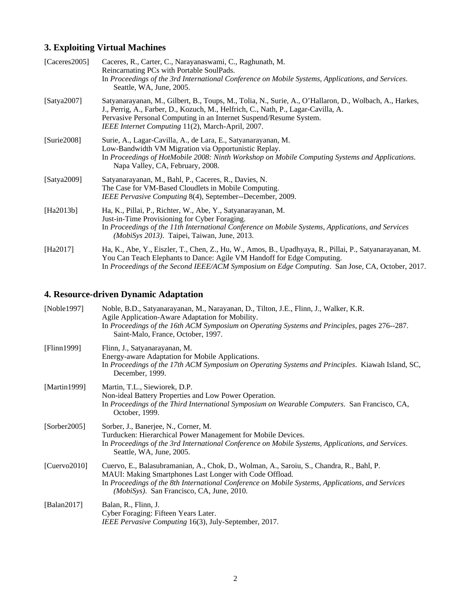## **3. Exploiting Virtual Machines**

| [ $\text{Caceres}$ 2005] | Caceres, R., Carter, C., Narayanaswami, C., Raghunath, M.<br>Reincarnating PCs with Portable SoulPads.<br>In Proceedings of the 3rd International Conference on Mobile Systems, Applications, and Services.<br>Seattle, WA, June, 2005.                                                                                |
|--------------------------|------------------------------------------------------------------------------------------------------------------------------------------------------------------------------------------------------------------------------------------------------------------------------------------------------------------------|
| [Satya2007]              | Satyanarayanan, M., Gilbert, B., Toups, M., Tolia, N., Surie, A., O'Hallaron, D., Wolbach, A., Harkes,<br>J., Perrig, A., Farber, D., Kozuch, M., Helfrich, C., Nath, P., Lagar-Cavilla, A.<br>Pervasive Personal Computing in an Internet Suspend/Resume System.<br>IEEE Internet Computing 11(2), March-April, 2007. |
| [Surie2008]              | Surie, A., Lagar-Cavilla, A., de Lara, E., Satyanarayanan, M.<br>Low-Bandwidth VM Migration via Opportunistic Replay.<br>In Proceedings of HotMobile 2008: Ninth Workshop on Mobile Computing Systems and Applications.<br>Napa Valley, CA, February, 2008.                                                            |
| [Satya2009]              | Satyanarayanan, M., Bahl, P., Caceres, R., Davies, N.<br>The Case for VM-Based Cloudlets in Mobile Computing.<br>IEEE Pervasive Computing 8(4), September--December, 2009.                                                                                                                                             |
| [Ha2013b]                | Ha, K., Pillai, P., Richter, W., Abe, Y., Satyanarayanan, M.<br>Just-in-Time Provisioning for Cyber Foraging.<br>In Proceedings of the 11th International Conference on Mobile Systems, Applications, and Services<br>(MobiSys 2013). Taipei, Taiwan, June, 2013.                                                      |
| [Ha2017]                 | Ha, K., Abe, Y., Eiszler, T., Chen, Z., Hu, W., Amos, B., Upadhyaya, R., Pillai, P., Satyanarayanan, M.<br>You Can Teach Elephants to Dance: Agile VM Handoff for Edge Computing.<br>In Proceedings of the Second IEEE/ACM Symposium on Edge Computing. San Jose, CA, October, 2017.                                   |

## **4. Resource-driven Dynamic Adaptation**

| [Noble $1997$ ]  | Noble, B.D., Satyanarayanan, M., Narayanan, D., Tilton, J.E., Flinn, J., Walker, K.R.<br>Agile Application-Aware Adaptation for Mobility.<br>In Proceedings of the 16th ACM Symposium on Operating Systems and Principles, pages 276--287.<br>Saint-Malo, France, October, 1997.                     |
|------------------|------------------------------------------------------------------------------------------------------------------------------------------------------------------------------------------------------------------------------------------------------------------------------------------------------|
| [Flinn1999]      | Flinn, J., Satyanarayanan, M.<br>Energy-aware Adaptation for Mobile Applications.<br>In Proceedings of the 17th ACM Symposium on Operating Systems and Principles. Kiawah Island, SC,<br>December, 1999.                                                                                             |
| [Martin1999]     | Martin, T.L., Siewiorek, D.P.<br>Non-ideal Battery Properties and Low Power Operation.<br>In Proceedings of the Third International Symposium on Wearable Computers. San Francisco, CA,<br>October, 1999.                                                                                            |
| [Sorber2005]     | Sorber, J., Banerjee, N., Corner, M.<br>Turducken: Hierarchical Power Management for Mobile Devices.<br>In Proceedings of the 3rd International Conference on Mobile Systems, Applications, and Services.<br>Seattle, WA, June, 2005.                                                                |
| [Cuervo $2010$ ] | Cuervo, E., Balasubramanian, A., Chok, D., Wolman, A., Saroiu, S., Chandra, R., Bahl, P.<br>MAUI: Making Smartphones Last Longer with Code Offload.<br>In Proceedings of the 8th International Conference on Mobile Systems, Applications, and Services<br>(MobiSys). San Francisco, CA, June, 2010. |
| [Balan2017]      | Balan, R., Flinn, J.<br>Cyber Foraging: Fifteen Years Later.<br>IEEE Pervasive Computing 16(3), July-September, 2017.                                                                                                                                                                                |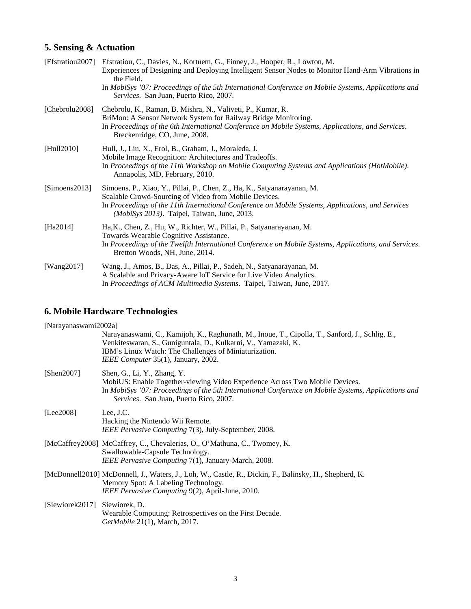## **5. Sensing & Actuation**

| [Efstratiou2007] | Efstratiou, C., Davies, N., Kortuem, G., Finney, J., Hooper, R., Lowton, M.<br>Experiences of Designing and Deploying Intelligent Sensor Nodes to Monitor Hand-Arm Vibrations in<br>the Field.<br>In MobiSys '07: Proceedings of the 5th International Conference on Mobile Systems, Applications and<br>Services. San Juan, Puerto Rico, 2007. |
|------------------|-------------------------------------------------------------------------------------------------------------------------------------------------------------------------------------------------------------------------------------------------------------------------------------------------------------------------------------------------|
| [Chebrolu2008]   | Chebrolu, K., Raman, B. Mishra, N., Valiveti, P., Kumar, R.<br>BriMon: A Sensor Network System for Railway Bridge Monitoring.<br>In Proceedings of the 6th International Conference on Mobile Systems, Applications, and Services.<br>Breckenridge, CO, June, 2008.                                                                             |
| [Hull2010]       | Hull, J., Liu, X., Erol, B., Graham, J., Moraleda, J.<br>Mobile Image Recognition: Architectures and Tradeoffs.<br>In Proceedings of the 11th Workshop on Mobile Computing Systems and Applications (HotMobile).<br>Annapolis, MD, February, 2010.                                                                                              |
| [Simoens2013]    | Simoens, P., Xiao, Y., Pillai, P., Chen, Z., Ha, K., Satyanarayanan, M.<br>Scalable Crowd-Sourcing of Video from Mobile Devices.<br>In Proceedings of the 11th International Conference on Mobile Systems, Applications, and Services<br>(MobiSys 2013). Taipei, Taiwan, June, 2013.                                                            |
| [Ha2014]         | Ha, K., Chen, Z., Hu, W., Richter, W., Pillai, P., Satyanarayanan, M.<br>Towards Wearable Cognitive Assistance.<br>In Proceedings of the Twelfth International Conference on Mobile Systems, Applications, and Services.<br>Bretton Woods, NH, June, 2014.                                                                                      |
| [Wang2017]       | Wang, J., Amos, B., Das, A., Pillai, P., Sadeh, N., Satyanarayanan, M.<br>A Scalable and Privacy-Aware IoT Service for Live Video Analytics.<br>In Proceedings of ACM Multimedia Systems. Taipei, Taiwan, June, 2017.                                                                                                                           |

# **6. Mobile Hardware Technologies**

| [Narayanaswami2002a] |                                                                                                                                                                                                                                                                   |
|----------------------|-------------------------------------------------------------------------------------------------------------------------------------------------------------------------------------------------------------------------------------------------------------------|
|                      | Narayanaswami, C., Kamijoh, K., Raghunath, M., Inoue, T., Cipolla, T., Sanford, J., Schlig, E.,<br>Venkiteswaran, S., Guniguntala, D., Kulkarni, V., Yamazaki, K.<br>IBM's Linux Watch: The Challenges of Miniaturization.<br>IEEE Computer 35(1), January, 2002. |
| [Shen $2007$ ]       | Shen, G., Li, Y., Zhang, Y.<br>MobiUS: Enable Together-viewing Video Experience Across Two Mobile Devices.<br>In MobiSys '07: Proceedings of the 5th International Conference on Mobile Systems, Applications and<br>Services. San Juan, Puerto Rico, 2007.       |
| [Lee2008]            | Lee, J.C.<br>Hacking the Nintendo Wii Remote.<br>IEEE Pervasive Computing 7(3), July-September, 2008.                                                                                                                                                             |
|                      | [McCaffrey2008] McCaffrey, C., Chevalerias, O., O'Mathuna, C., Twomey, K.<br>Swallowable-Capsule Technology.<br>IEEE Pervasive Computing 7(1), January-March, 2008.                                                                                               |
|                      | [McDonnell2010] McDonnell, J., Waters, J., Loh, W., Castle, R., Dickin, F., Balinsky, H., Shepherd, K.<br>Memory Spot: A Labeling Technology.<br>IEEE Pervasive Computing 9(2), April-June, 2010.                                                                 |
| [Siewiorek2017]      | Siewiorek, D.<br>Wearable Computing: Retrospectives on the First Decade.<br><i>GetMobile</i> 21(1), March, 2017.                                                                                                                                                  |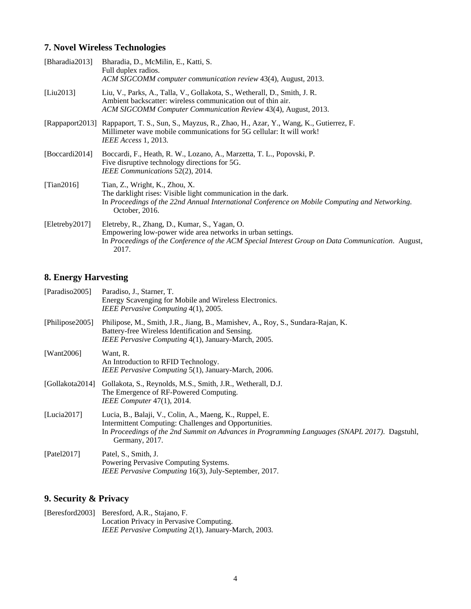### **7. Novel Wireless Technologies**

| [Bharadia2013] | Bharadia, D., McMilin, E., Katti, S.<br>Full duplex radios.<br>ACM SIGCOMM computer communication review 43(4), August, 2013.                                                                                             |
|----------------|---------------------------------------------------------------------------------------------------------------------------------------------------------------------------------------------------------------------------|
| [Liu2013]      | Liu, V., Parks, A., Talla, V., Gollakota, S., Wetherall, D., Smith, J. R.<br>Ambient backscatter: wireless communication out of thin air.<br>ACM SIGCOMM Computer Communication Review 43(4), August, 2013.               |
|                | [Rappaport2013] Rappaport, T. S., Sun, S., Mayzus, R., Zhao, H., Azar, Y., Wang, K., Gutierrez, F.<br>Millimeter wave mobile communications for 5G cellular: It will work!<br><i>IEEE Access</i> 1, 2013.                 |
| [Boccardi2014] | Boccardi, F., Heath, R. W., Lozano, A., Marzetta, T. L., Popovski, P.<br>Five disruptive technology directions for 5G.<br>IEEE Communications 52(2), 2014.                                                                |
| [Tian2016]     | Tian, Z., Wright, K., Zhou, X.<br>The darklight rises: Visible light communication in the dark.<br>In Proceedings of the 22nd Annual International Conference on Mobile Computing and Networking.<br>October, 2016.       |
| [Eletreby2017] | Eletreby, R., Zhang, D., Kumar, S., Yagan, O.<br>Empowering low-power wide area networks in urban settings.<br>In Proceedings of the Conference of the ACM Special Interest Group on Data Communication. August,<br>2017. |

### **8. Energy Harvesting**

| [Paradiso2005]  | Paradiso, J., Starner, T.<br>Energy Scavenging for Mobile and Wireless Electronics.<br>IEEE Pervasive Computing 4(1), 2005.                                                                                                         |
|-----------------|-------------------------------------------------------------------------------------------------------------------------------------------------------------------------------------------------------------------------------------|
| [Philipose2005] | Philipose, M., Smith, J.R., Jiang, B., Mamishev, A., Roy, S., Sundara-Rajan, K.<br>Battery-free Wireless Identification and Sensing.<br>IEEE Pervasive Computing 4(1), January-March, 2005.                                         |
| [Want $2006$ ]  | Want, R.<br>An Introduction to RFID Technology.<br>IEEE Pervasive Computing 5(1), January-March, 2006.                                                                                                                              |
| [Gollakota2014] | Gollakota, S., Reynolds, M.S., Smith, J.R., Wetherall, D.J.<br>The Emergence of RF-Powered Computing.<br><i>IEEE Computer</i> 47(1), 2014.                                                                                          |
| [Lucia $2017$ ] | Lucia, B., Balaji, V., Colin, A., Maeng, K., Ruppel, E.<br>Intermittent Computing: Challenges and Opportunities.<br>In Proceedings of the 2nd Summit on Advances in Programming Languages (SNAPL 2017). Dagstuhl,<br>Germany, 2017. |
| [Patel2017]     | Patel, S., Smith, J.<br>Powering Pervasive Computing Systems.<br>IEEE Pervasive Computing 16(3), July-September, 2017.                                                                                                              |

### **9. Security & Privacy**

[Beresford2003] Beresford, A.R., Stajano, F. Location Privacy in Pervasive Computing. *IEEE Pervasive Computing* 2(1), January-March, 2003.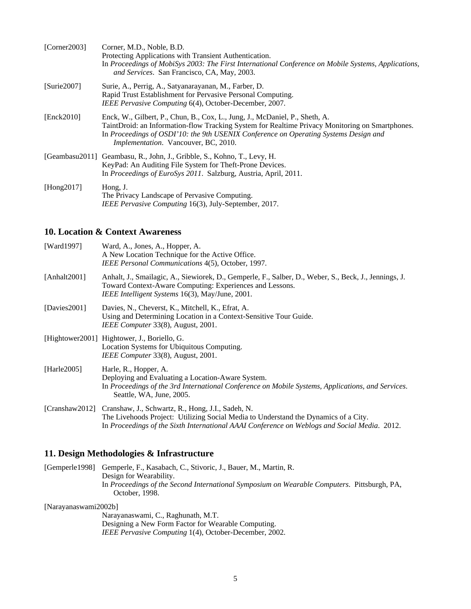| [Corner2003]   | Corner, M.D., Noble, B.D.<br>Protecting Applications with Transient Authentication.<br>In Proceedings of MobiSys 2003: The First International Conference on Mobile Systems, Applications,<br>and Services. San Francisco, CA, May, 2003.                                                                             |
|----------------|-----------------------------------------------------------------------------------------------------------------------------------------------------------------------------------------------------------------------------------------------------------------------------------------------------------------------|
| [Surie2007]    | Surie, A., Perrig, A., Satyanarayanan, M., Farber, D.<br>Rapid Trust Establishment for Pervasive Personal Computing.<br>IEEE Pervasive Computing 6(4), October-December, 2007.                                                                                                                                        |
| [Enck2010]     | Enck, W., Gilbert, P., Chun, B., Cox, L., Jung, J., McDaniel, P., Sheth, A.<br>TaintDroid: an Information-flow Tracking System for Realtime Privacy Monitoring on Smartphones.<br>In Proceedings of OSDI'10: the 9th USENIX Conference on Operating Systems Design and<br><i>Implementation.</i> Vancouver, BC, 2010. |
|                | [Geambasu2011] Geambasu, R., John, J., Gribble, S., Kohno, T., Levy, H.<br>KeyPad: An Auditing File System for Theft-Prone Devices.<br>In <i>Proceedings of EuroSys 2011</i> . Salzburg, Austria, April, 2011.                                                                                                        |
| [Hong $2017$ ] | Hong, J.<br>The Privacy Landscape of Pervasive Computing.<br>IEEE Pervasive Computing 16(3), July-September, 2017.                                                                                                                                                                                                    |

#### **10. Location & Context Awareness**

| [Ward1997]       | Ward, A., Jones, A., Hopper, A.<br>A New Location Technique for the Active Office.<br>IEEE Personal Communications 4(5), October, 1997.                                                                              |
|------------------|----------------------------------------------------------------------------------------------------------------------------------------------------------------------------------------------------------------------|
| [Anhalt $2001$ ] | Anhalt, J., Smailagic, A., Siewiorek, D., Gemperle, F., Salber, D., Weber, S., Beck, J., Jennings, J.<br>Toward Context-Aware Computing: Experiences and Lessons.<br>IEEE Intelligent Systems 16(3), May/June, 2001. |
| [Davies $2001$ ] | Davies, N., Cheverst, K., Mitchell, K., Efrat, A.<br>Using and Determining Location in a Context-Sensitive Tour Guide.<br>IEEE Computer 33(8), August, 2001.                                                         |
|                  | [Hightower2001] Hightower, J., Boriello, G.<br>Location Systems for Ubiquitous Computing.<br>IEEE Computer 33(8), August, 2001.                                                                                      |
| [Harle $2005$ ]  | Harle, R., Hopper, A.<br>Deploying and Evaluating a Location-Aware System.<br>In Proceedings of the 3rd International Conference on Mobile Systems, Applications, and Services.<br>Seattle, WA, June, 2005.          |
|                  | [Cranshaw2012] Cranshaw, J., Schwartz, R., Hong, J.I., Sadeh, N.<br>The Liveboods Project: Utilizing Social Media to Understand the Dynamics of a City                                                               |

The Livehoods Project: Utilizing Social Media to Understand the Dynamics of a City. In *Proceedings of the Sixth International AAAI Conference on Weblogs and Social Media*. 2012.

#### **11. Design Methodologies & Infrastructure**

[Gemperle1998] Gemperle, F., Kasabach, C., Stivoric, J., Bauer, M., Martin, R. Design for Wearability. In *Proceedings of the Second International Symposium on Wearable Computers*. Pittsburgh, PA, October, 1998.

[Narayanaswami2002b]

Narayanaswami, C., Raghunath, M.T. Designing a New Form Factor for Wearable Computing. *IEEE Pervasive Computing* 1(4), October-December, 2002.